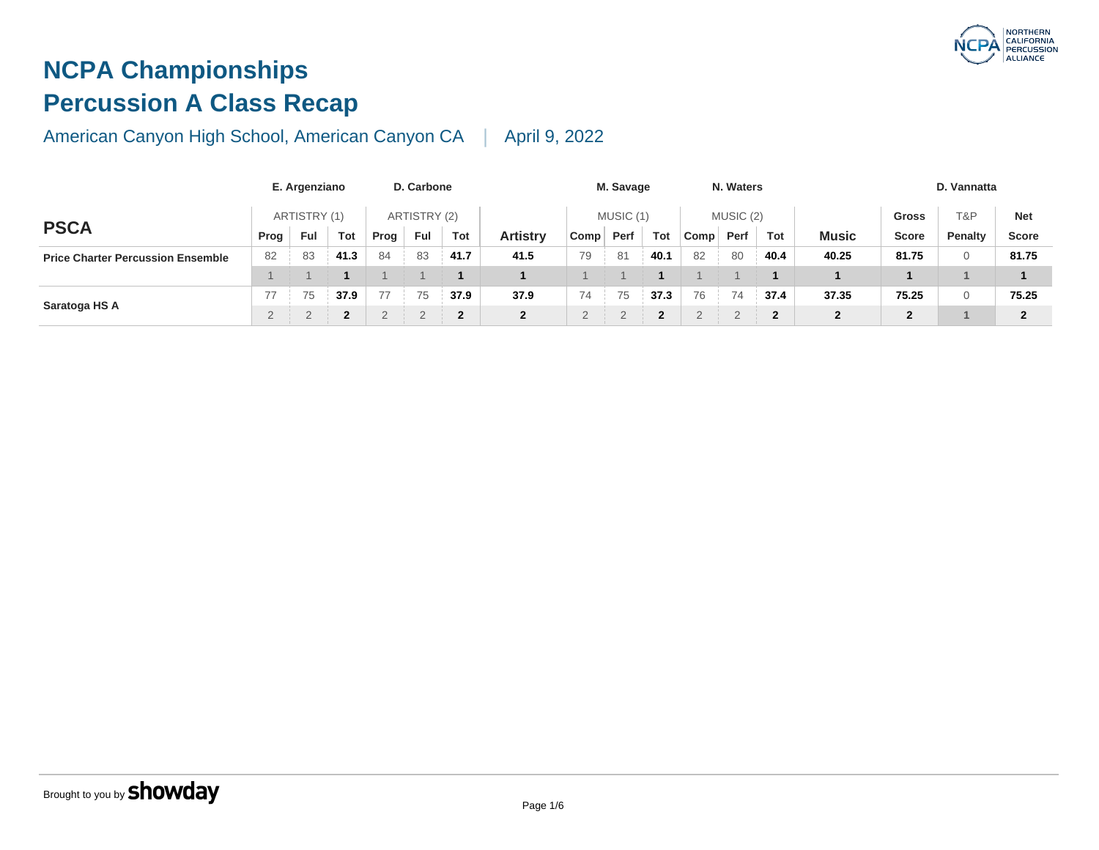## **NCPA Championships Percussion A Class Recap**

|                                          |      | E. Argenziano |                |      | D. Carbone   |      |                 |      | M. Savage |                          |      | N. Waters |                |              |
|------------------------------------------|------|---------------|----------------|------|--------------|------|-----------------|------|-----------|--------------------------|------|-----------|----------------|--------------|
|                                          |      | ARTISTRY (1)  |                |      | ARTISTRY (2) |      |                 |      | MUSIC (1) |                          |      | MUSIC (2) |                |              |
| <b>PSCA</b>                              | Prog | Ful           | Tot            | Prog | Ful          | Tot  | <b>Artistry</b> | Comp | Perf      | Tot                      | Comp | Perf      | <b>Tot</b>     | <b>Musi</b>  |
| <b>Price Charter Percussion Ensemble</b> | 82   | 83            | 41.3           | 84   | 83           | 41.7 | 41.5            | 79   | 81        | 40.1                     | 82   | 80        | 40.4           | 40.25        |
|                                          |      |               |                |      |              |      |                 |      |           |                          |      |           |                |              |
|                                          | 77   | 75            | 37.9           | 77   | 75           | 37.9 | 37.9            | 74   | 75        | 37.3                     | 76   | 74        | 37.4           | 37.35        |
| Saratoga HS A                            |      |               | $\overline{2}$ |      |              |      | $\overline{2}$  |      |           | $\overline{\phantom{a}}$ |      |           | $\overline{2}$ | $\mathbf{2}$ |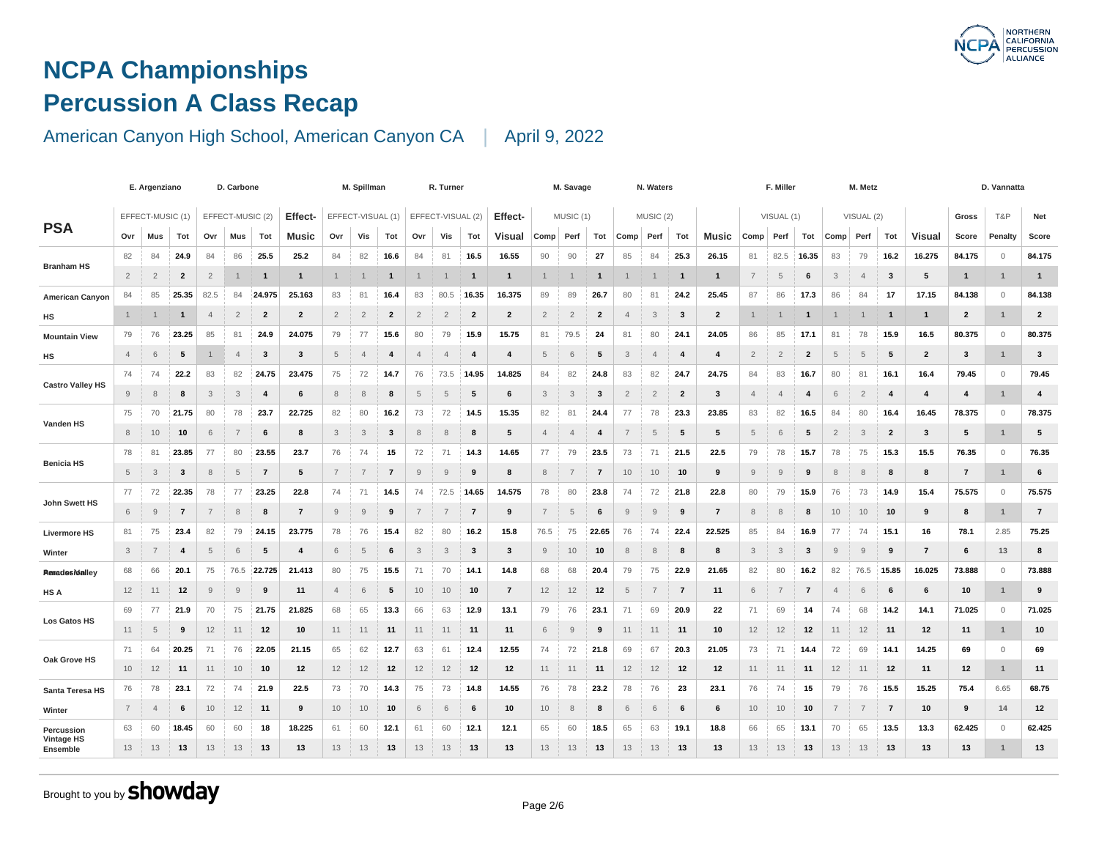### **NCPA Championships Percussion A Class Recap**

#### American Canyon High School, American Canyon CA | April 9, 2022

|                               | E. Argenziano<br>EFFECT-MUSIC (1) |                |                 |                | D. Carbone       |                |                | M. Spillman    |                   | R. Turner      |                |                   |                         | M. Savage      |                |                | N. Waters               |                |                |                | F. Miller               |                |                |                |                |
|-------------------------------|-----------------------------------|----------------|-----------------|----------------|------------------|----------------|----------------|----------------|-------------------|----------------|----------------|-------------------|-------------------------|----------------|----------------|----------------|-------------------------|----------------|----------------|----------------|-------------------------|----------------|----------------|----------------|----------------|
| <b>PSA</b>                    |                                   |                |                 |                | EFFECT-MUSIC (2) |                | Effect-        |                | EFFECT-VISUAL (1) |                |                | EFFECT-VISUAL (2) |                         | Effect-        |                | MUSIC (1)      |                         |                | MUSIC (2)      |                |                         |                | VISUAL (1)     |                | $\vee$         |
|                               | Ovr                               | Mus            | Tot             | Ovr            | Mus              | Tot            | <b>Music</b>   | Ovr            | Vis               | Tot            | Ovr            | Vis               | Tot                     | Visual         | Comp           | Perf           | Tot                     | Comp           | Perf           | Tot            | Music                   | Comp           | Perf           | Tot            | Comp           |
| <b>Branham HS</b>             | 82                                | 84             | 24.9            | 84             | 86               | 25.5           | 25.2           | 84             | 82                | 16.6           | 84             | 81                | 16.5                    | 16.55          | 90             | 90             | 27                      | 85             | 84             | 25.3           | 26.15                   | 81             | 82.5           | 16.35          | 83             |
|                               | $\overline{2}$                    | $\overline{2}$ | $\overline{2}$  | $\overline{2}$ | 1                | -1             | $\mathbf{1}$   |                |                   | 1              |                |                   | $\mathbf{1}$            | $\mathbf{1}$   |                |                | $\mathbf 1$             |                |                | -1             | $\mathbf{1}$            | $\overline{7}$ | 5              | 6              | $\mathbf{3}$   |
| American Canyon               | 84                                | 85             | 25.35           | 82.5           | 84               | 24.975         | 25.163         | 83             | 81                | 16.4           | 83             | 80.5              | 16.35                   | 16.375         | 89             | 89             | 26.7                    | 80             | 81             | 24.2           | 25.45                   | 87             | 86             | 17.3           | 86             |
| НS                            | $\mathbf{1}$                      |                | -1              | $\overline{4}$ | $\overline{2}$   | $\overline{2}$ | $\overline{2}$ | $\overline{2}$ | $\overline{2}$    | $\mathbf{2}$   | $\overline{2}$ | $\overline{2}$    | $\overline{\mathbf{2}}$ | $\overline{2}$ | $\overline{2}$ | $\overline{2}$ | $\overline{\mathbf{2}}$ | $\overline{4}$ | 3              | 3              | $\overline{2}$          |                |                | -1             | $\mathbf{1}$   |
| <b>Mountain View</b>          | 79                                | 76             | 23.25           | 85             | 81               | 24.9           | 24.075         | 79             | 77                | 15.6           | 80             | 79                | 15.9                    | 15.75          | 81             | 79.5           | 24                      | 81             | 80             | 24.1           | 24.05                   | 86             | 85             | 17.1           | 81             |
| HS                            | $\overline{4}$                    | 6              | $5\phantom{.0}$ |                | $\overline{4}$   | $\mathbf{3}$   | 3              | 5              | $\overline{4}$    | 4              | $\overline{4}$ | $\overline{4}$    | $\overline{4}$          | 4              | 5              | 6              | 5                       | 3              | $\overline{4}$ | $\overline{4}$ | $\overline{\mathbf{4}}$ | $\overline{2}$ | $\overline{2}$ | $\overline{2}$ | $\overline{5}$ |
| <b>Castro Valley HS</b>       | 74                                | 74             | 22.2            | 83             | 82               | 24.75          | 23.475         | 75             | 72                | 14.7           | 76             | 73.5              | 14.95                   | 14.825         | 84             | 82             | 24.8                    | 83             | 82             | 24.7           | 24.75                   | 84             | 83             | 16.7           | 80             |
|                               | 9                                 | 8              | 8               | 3              | 3                | $\overline{4}$ | 6              | 8              | 8                 | 8              | 5              | 5                 | 5                       | 6              | 3              | 3              | 3                       | $\overline{2}$ | $\overline{2}$ | $\mathbf{2}$   | 3                       | $\overline{4}$ | $\overline{4}$ | -4             | 6              |
|                               | 75                                | 70             | 21.75           | 80             | 78               | 23.7           | 22.725         | 82             | 80                | 16.2           | 73             | 72                | 14.5                    | 15.35          | 82             | 81             | 24.4                    | 77             | 78             | 23.3           | 23.85                   | 83             | 82             | 16.5           | 84             |
| Vanden HS                     | 8                                 | 10             | 10              | 6              | $\overline{7}$   | 6              | 8              | 3              | 3                 | 3              | 8              | 8                 | 8                       | 5              | $\overline{4}$ | $\overline{4}$ | $\overline{\mathbf{4}}$ | $\overline{7}$ | 5              | 5              | 5                       | 5              | 6              | 5              | $\overline{2}$ |
|                               | 78                                | 81             | 23.85           | 77             | 80               | 23.55          | 23.7           | 76             | 74                | 15             | 72             | 71                | 14.3                    | 14.65          | 77             | 79             | 23.5                    | 73             | 71             | 21.5           | 22.5                    | 79             | 78             | 15.7           | 78             |
| <b>Benicia HS</b>             | 5                                 | 3              | 3               | 8              | 5                | $\overline{7}$ | 5              | $\overline{7}$ | $\overline{7}$    | $\overline{7}$ | 9              | 9                 | 9                       | 8              | 8              | 7              | $\overline{7}$          | 10             | 10             | 10             | 9                       | 9              | 9              | 9              | 8              |
|                               | 77                                | 72             | 22.35           | 78             | 77               | 23.25          | 22.8           | 74             | 71                | 14.5           | 74             | 72.5              | 14.65                   | 14.575         | 78             | 80             | 23.8                    | 74             | 72             | 21.8           | 22.8                    | 80             | 79             | 15.9           | 76             |
| John Swett HS                 | 6                                 | 9              | $\overline{7}$  | $\overline{7}$ | 8                | 8              | $\overline{7}$ | 9              | 9                 | 9              | $\overline{7}$ | $\overline{7}$    | $\overline{7}$          | 9              | $\overline{7}$ | 5              | 6                       | 9              | $\mathsf g$    | 9              | $\overline{7}$          | 8              | 8              | 8              | 10             |
| <b>Livermore HS</b>           | 81                                | 75             | 23.4            | 82             | 79               | 24.15          | 23.775         | 78             | 76                | 15.4           | 82             | 80                | 16.2                    | 15.8           | 76.5           | 75             | 22.65                   | 76             | 74             | 22.4           | 22.525                  | 85             | 84             | 16.9           | 77             |
| Winter                        | 3                                 | $\overline{7}$ | 4               | $\overline{5}$ | 6                | 5              | $\overline{4}$ | 6              | 5                 | 6              | 3              | 3                 | $\mathbf{3}$            | 3              | 9              | 10             | 10                      | 8              | $\,8\,$        | 8              | 8                       | 3              | 3              | 3              | 9              |
| <b>Reradesitalley</b>         | 68                                | 66             | 20.1            | 75             | 76.5             | 22.725         | 21.413         | 80             | 75                | 15.5           | 71             | 70                | 14.1                    | 14.8           | 68             | 68             | 20.4                    | 79             | 75             | 22.9           | 21.65                   | 82             | 80             | 16.2           | 82             |
| <b>HS A</b>                   | 12                                | 11             | 12              | 9              | 9                | 9              | 11             | $\overline{4}$ | 6                 | 5              | 10             | 10                | 10                      | $\overline{7}$ | 12             | 12             | 12                      | 5              | $\overline{7}$ | $\overline{7}$ | 11                      | 6              | 7              | $\overline{7}$ | $\overline{4}$ |
|                               | 69                                | 77             | 21.9            | 70             | 75               | 21.75          | 21.825         | 68             | 65                | 13.3           | 66             | 63                | 12.9                    | 13.1           | 79             | 76             | 23.1                    | 71             | 69             | 20.9           | 22                      | 71             | 69             | 14             | 74             |
| Los Gatos HS                  | 11                                | $\overline{5}$ | 9               | 12             | 11               | 12             | 10             | 11             | 11                | 11             | 11             | 11                | 11                      | 11             | 6              | 9              | 9                       | 11             | 11             | 11             | 10                      | 12             | 12             | 12             | 11             |
|                               | 71                                | 64             | 20.25           | 71             | 76               | 22.05          | 21.15          | 65             | 62                | 12.7           | 63             | 61                | 12.4                    | 12.55          | 74             | 72             | 21.8                    | 69             | 67             | 20.3           | 21.05                   | 73             | 71             | 14.4           | 72             |
| Oak Grove HS                  | 10                                | 12             | 11              | 11             | 10               | 10             | 12             | 12             | 12                | 12             | 12             | 12                | 12                      | 12             | 11             | 11             | 11                      | 12             | 12             | 12             | 12                      | 11             | 11             | 11             | 12             |
| Santa Teresa HS               | 76                                | 78             | 23.1            | 72             | 74               | 21.9           | 22.5           | 73             | 70                | 14.3           | 75             | 73                | 14.8                    | 14.55          | 76             | 78             | 23.2                    | 78             | 76             | 23             | 23.1                    | 76             | 74             | 15             | 79             |
| Winter                        | $\overline{7}$                    | $\overline{4}$ | 6               | 10             | 12               | 11             | 9              | 10             | 10                | 10             | 6              | 6                 | 6                       | 10             | 10             | 8              | 8                       | 6              | 6              | 6              | 6                       | 10             | 10             | 10             | $\overline{7}$ |
| Percussion                    | 63                                | 60             | 18.45           | 60             | 60               | 18             | 18.225         | 61             | 60                | 12.1           | 61             | 60                | 12.1                    | 12.1           | 65             | 60             | 18.5                    | 65             | 63             | 19.1           | 18.8                    | 66             | 65             | 13.1           | 70             |
| <b>Vintage HS</b><br>Ensemble | 13                                | 13             | 13              | 13             | 13               | 13             | 13             | 13             | 13                | 13             | 13             | 13                | 13                      | 13             | 13             | 13             | 13                      | 13             | 13             | 13             | 13                      | 13             | 13             | 13             | 13             |
|                               |                                   |                |                 |                |                  |                |                |                |                   |                |                |                   |                         |                |                |                |                         |                |                |                |                         |                |                |                |                |

Brought to you by **Showday**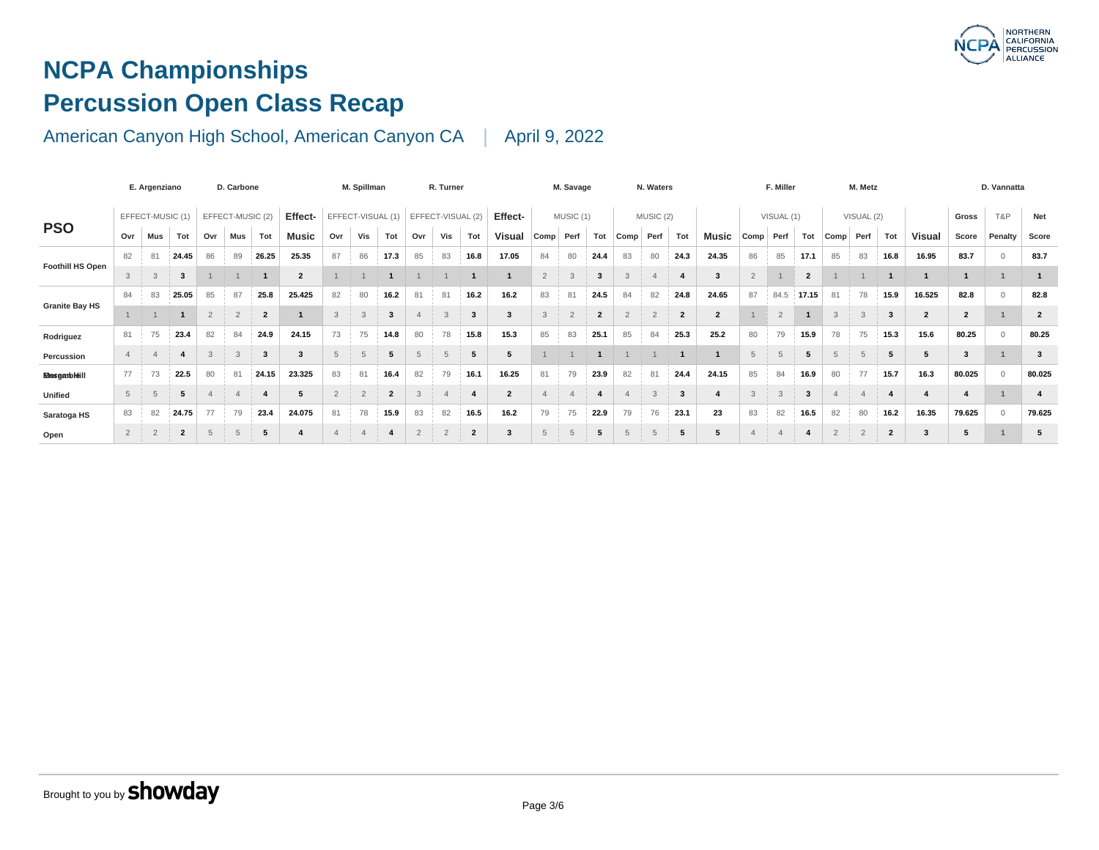# **NCPA Championships Percussion Open Class Recap**

|                         | E. Argenziano                        |                |                | D. Carbone     |                |                |                         | M. Spillman |                |                         |                | R. Turner      |                                |                |                | M. Savage |                         |      | N. Waters |                |                         |                | F. Miller      |                         |                |
|-------------------------|--------------------------------------|----------------|----------------|----------------|----------------|----------------|-------------------------|-------------|----------------|-------------------------|----------------|----------------|--------------------------------|----------------|----------------|-----------|-------------------------|------|-----------|----------------|-------------------------|----------------|----------------|-------------------------|----------------|
|                         | EFFECT-MUSIC (1)<br>EFFECT-MUSIC (2) |                |                |                | Effect-        |                | EFFECT-VISUAL (1)       |             |                | EFFECT-VISUAL (2)       |                | Effect-        |                                | MUSIC (1)      |                |           | MUSIC (2)               |      |           |                | VISUAL (1)              |                |                |                         |                |
| <b>PSO</b>              | Ovr                                  | Mus            | Tot            | Ovr            | Mus            | Tot            | <b>Music</b>            | Ovr         | Vis            | Tot                     | Ovr            | Vis            | Tot                            | <b>Visual</b>  | Comp           | Perf      | Tot                     | Comp | Perf      | Tot            | Music                   | Comp           | Perf           | Tot                     | Comp           |
|                         | 82                                   | 81             | 24.45          | 86             | 89             | 26.25          | 25.35                   | 87          | 86             | 17.3                    | 85             | 83             | 16.8                           | 17.05          | 84             | 80        | 24.4                    | 83   | 80        | 24.3           | 24.35                   | 86             | 85             | 17.1                    | 85             |
| <b>Foothill HS Open</b> | 3                                    | 3              | 3              |                |                |                | $\overline{2}$          |             |                |                         |                |                |                                |                | $\overline{2}$ | 3         | $\overline{\mathbf{3}}$ | 3    |           | $\overline{4}$ | $\overline{\mathbf{3}}$ | $\overline{2}$ |                | $\overline{2}$          |                |
|                         | 84                                   | 83             | 25.05          | 85             | 87             | 25.8           | 25.425                  | 82          | 80             | 16.2                    | 81             | 81             | 16.2                           | 16.2           | 83             | 81        | 24.5                    | 84   | 82        | 24.8           | 24.65                   | 87             | 84.5           | 17.15                   | 81             |
| <b>Granite Bay HS</b>   |                                      |                | -1             | $\overline{2}$ | $\overline{2}$ | $\overline{2}$ | $\overline{\mathbf{1}}$ | 3           | 3              | -3                      | $\overline{a}$ | 3              | $\mathbf{3}$                   | 3              | 3              | $\Omega$  | $\overline{2}$          |      | $\Omega$  | $\overline{2}$ | $\overline{2}$          |                | $\overline{2}$ |                         | 3              |
| Rodriguez               | 81                                   | 75             | 23.4           | 82             | 84             | 24.9           | 24.15                   | 73          | 75             | 14.8                    | 80             | 78             | 15.8                           | 15.3           | 85             | 83        | 25.1                    | 85   | 84        | 25.3           | 25.2                    | 80             | 79             | 15.9                    | 78             |
| Percussion              |                                      |                |                |                | 3              | 3              | 3                       | 5           |                |                         | 5              | 5              | 5                              | 5              |                |           |                         |      |           |                |                         | 5              | 5              |                         | 5              |
| <b>Mosgarbitil</b>      | 77                                   | 73             | 22.5           | 80             | 81             | 24.15          | 23.325                  | 83          | 81             | 16.4                    | 82             | 79             | 16.1                           | 16.25          | 81             | 79        | 23.9                    | 82   | 81        | 24.4           | 24.15                   | 85             | 84             | 16.9                    | 80             |
| Unified                 | 5                                    |                | 5              |                |                |                | 5                       | $\Omega$    | $\overline{2}$ | $\overline{\mathbf{2}}$ | 3              |                | $\overline{4}$<br>$\mathbf{H}$ | $\overline{2}$ |                |           |                         |      | $\Omega$  | 3              | $\overline{\mathbf{4}}$ | 3              | 3              | $\overline{\mathbf{3}}$ |                |
| Saratoga HS             | 83                                   | 82             | 24.75          | 77             | 79             | 23.4           | 24.075                  | 81          | 78             | 15.9                    | 83             | 82             | 16.5                           | 16.2           | 79             | 75        | 22.9                    | 79   | 76        | 23.1           | 23                      | 83             | 82             | 16.5                    | 82             |
| Open                    | $\overline{2}$                       | $\overline{2}$ | $\overline{2}$ | 5              | 5              | 5              | 4                       |             |                |                         | $\overline{2}$ | $\overline{2}$ | $\overline{2}$                 | 3              | 5              |           | 5                       | 5    | 5         | 5              | 5                       | $\overline{a}$ | $\overline{4}$ |                         | $\overline{2}$ |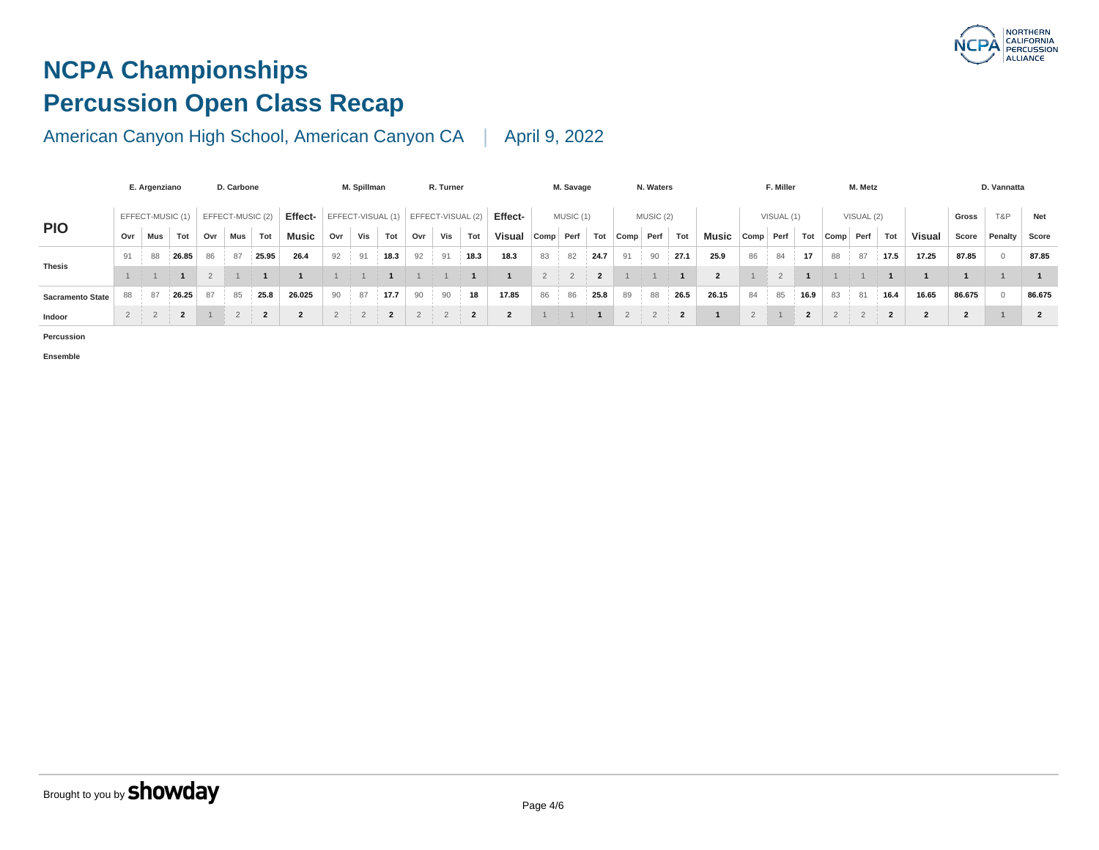# **NCPA Championships Percussion Open Class Recap**

### American Canyon High School, American Canyon CA | April 9, 2022

|                         | E. Argenziano    |     |       | D. Carbone |                  |                |                   | M. Spillman |     |      | R. Turner |     |                                     |                  | M. Savage |           |      | N. Waters |           |      |       | F. Miller |            |           |    |
|-------------------------|------------------|-----|-------|------------|------------------|----------------|-------------------|-------------|-----|------|-----------|-----|-------------------------------------|------------------|-----------|-----------|------|-----------|-----------|------|-------|-----------|------------|-----------|----|
|                         | EFFECT-MUSIC (1) |     |       |            | EFFECT-MUSIC (2) |                | Effect-           |             |     |      |           |     | EFFECT-VISUAL (1) EFFECT-VISUAL (2) | Effect-          |           | MUSIC (1) |      |           | MUSIC (2) |      |       |           | VISUAL (1) |           |    |
| <b>PIO</b>              | Ovr              | Mus | Tot   | Ovr        | Mus              | Tot            | Music             | Ovr         | Vis | Tot  | Ovr       | Vis | Tot                                 | Visual Comp Perf |           |           | Tot  | Comp Perf |           | Tot  | Music | Comp      | Perf       | Tot Comp  |    |
|                         | 91               | 88  | 26.85 | 86         | 87               | 25.95          | 26.4              | 92          | 91  | 18.3 | 92        | 91  | 18.3                                | 18.3             | 83        | 82        | 24.7 | 91        | 90        | 27.1 | 25.9  | 86        | 84         | 17        | 88 |
| <b>Thesis</b>           |                  |     |       |            |                  |                |                   |             |     |      |           |     |                                     |                  |           |           |      |           |           |      |       |           |            |           |    |
| <b>Sacramento State</b> | 88               | 87  | 26.25 |            | 85               | 25.8           | 26.025            | 90          | 87  | 17.7 | 90        | 90  | 18                                  | 17.85            | 86        | 86        | 25.8 | 89        | 88        | 26.5 | 26.15 | 84        | 85         | $16.9$ 83 |    |
| Indoor                  |                  |     | 2     |            |                  | $\overline{2}$ | $\mathbf{\Omega}$ | $2^{\circ}$ |     | ີ    |           |     | ີ                                   | 2                |           |           |      |           |           | - 2  |       |           |            |           |    |

**Percussion**

**Ensemble**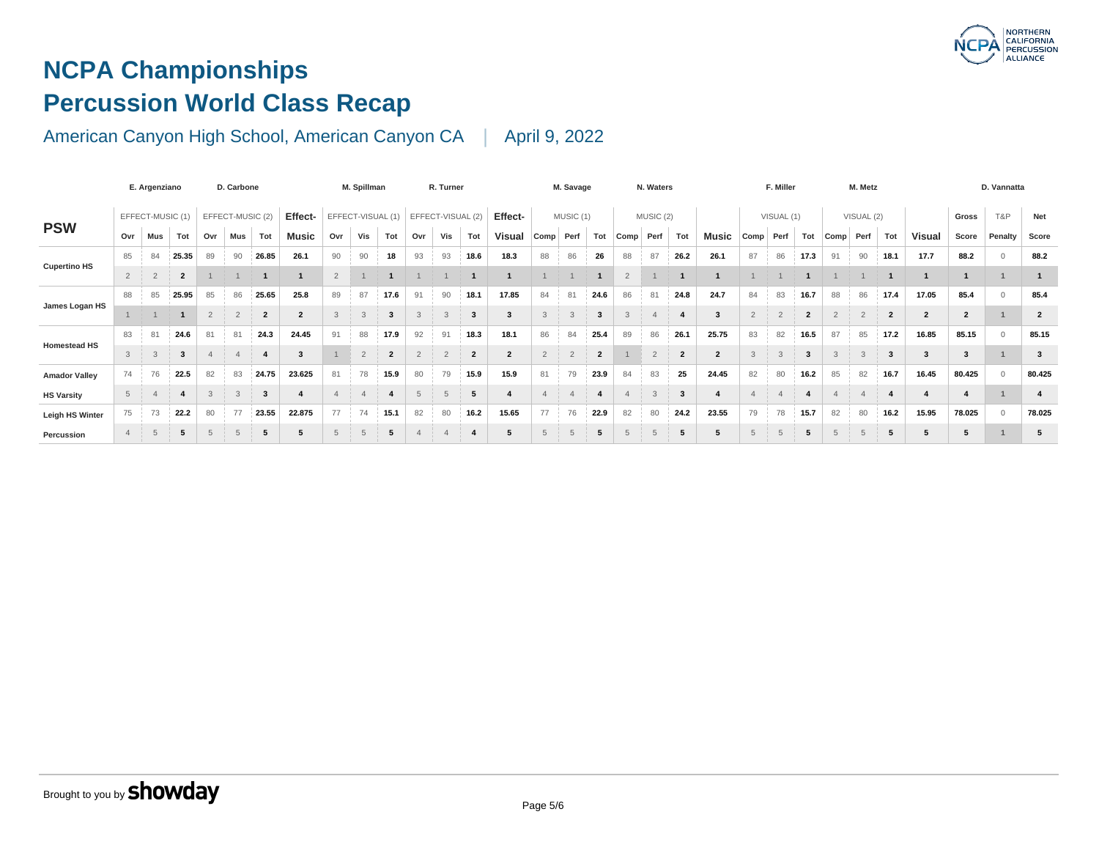# **NCPA Championships Percussion World Class Recap**

|                      | E. Argenziano  |                  |                | D. Carbone     |                  |                |                         | M. Spillman    |                   |                |     | R. Turner         |                     |                |                | M. Savage         |                |                | N. Waters      |                |                |                | F. Miller      |                |                |
|----------------------|----------------|------------------|----------------|----------------|------------------|----------------|-------------------------|----------------|-------------------|----------------|-----|-------------------|---------------------|----------------|----------------|-------------------|----------------|----------------|----------------|----------------|----------------|----------------|----------------|----------------|----------------|
|                      |                | EFFECT-MUSIC (1) |                |                | EFFECT-MUSIC (2) | Effect-        |                         |                | EFFECT-VISUAL (1) |                |     | EFFECT-VISUAL (2) |                     | Effect-        |                | MUSIC (1)         |                |                | MUSIC (2)      |                |                |                | VISUAL (1)     |                |                |
| <b>PSW</b>           | Ovr            | Mus              | Tot            | Ovr            | Mus              | Tot            | Music                   | Ovr            | Vis               | Tot            | Ovr | Vis               | Tot                 | <b>Visual</b>  | Comp           | Perf              | Tot            | Comp           | Perf           | Tot            | Music          | Comp           | Perf           | Tot            | Comp           |
| <b>Cupertino HS</b>  | 85             | 84               | 25.35          | 89             | 90               | 26.85          | 26.1                    | 90             | 90                | 18             | 93  | 93                | 18.6                | 18.3           | 88             | 86                | 26             | 88             | 87             | 26.2           | 26.1           | 87             | 86             | 17.3           | 91             |
|                      | $\overline{2}$ | $\overline{2}$   | $\overline{2}$ |                |                  |                | $\overline{\mathbf{1}}$ | $\overline{2}$ |                   |                |     |                   |                     |                |                |                   |                | $\overline{2}$ |                |                |                |                |                |                |                |
|                      | 88             | 85               | 25.95          | 85             | 86               | 25.65          | 25.8                    | 89             | 87                | 17.6           | 91  | 90                | 18.1                | 17.85          | 84             | 81                | 24.6           | 86             | 81             | 24.8           | 24.7           | 84             | 83             | 16.7           | 88             |
| James Logan HS       |                |                  |                | $\overline{2}$ | $\overline{2}$   | $\overline{2}$ | $\overline{2}$          | 3              | 3                 | 3              | 3   |                   | $\mathbf{3}$        | 3              | 3              | $\mathbf{\Omega}$ |                |                |                | 4              | 3              | $\overline{2}$ | $\overline{2}$ | $\overline{2}$ | $\overline{2}$ |
| <b>Homestead HS</b>  | 83             | 81               | 24.6           | 81             | 81               | 24.3           | 24.45                   | 91             | 88                | 17.9           | 92  | 91                | 18.3                | 18.1           | 86             | 84                | 25.4           | 89             | 86             | 26.1           | 25.75          | 83             | 82             | 16.5           | 87             |
|                      | $\mathbf{3}$   | 3                | 3              |                |                  |                | $\mathbf{3}$            |                | $\overline{2}$    | $\overline{2}$ | 2   | $\overline{2}$    | $\overline{2}$      | $\overline{2}$ | $\overline{2}$ | $\Omega$<br>۷     | $\overline{2}$ |                | $\overline{2}$ | $\overline{2}$ | $\overline{2}$ | 3              | 3              | 3              | 3              |
| <b>Amador Valley</b> | 74             | 76               | 22.5           | 82             | 83               | 24.75          | 23.625                  | 81             | 78                | 15.9           | 80  | 79                | 15.9                | 15.9           | 81             | 79                | 23.9           | 84             | 83             | 25             | 24.45          | 82             | 80             | 16.2           | 85             |
| <b>HS Varsity</b>    | 5              |                  |                | 3              | 3                | 3              | $\overline{\mathbf{4}}$ |                |                   |                | 5   |                   | 5                   |                |                |                   |                |                | 3              | 3              | 4              | $\Delta$       | $\overline{4}$ | -4             |                |
| Leigh HS Winter      | 75             | 73               | 22.2           | 80             | 77               | 23.55          | 22.875                  | 77             | 74                | 15.1           | 82  | 80                | 16.2                | 15.65          | 77             | 76                | 22.9           | 82             | 80             | 24.2           | 23.55          | 79             | 78             | 15.7           | 82             |
| Percussion           | $\overline{4}$ | 5                | 5              | $\overline{5}$ | 5                | 5              | 5                       | 5              | 5                 | 5              |     |                   | $\overline{\bf{4}}$ | 5              | 5              |                   | 5              |                | 5              | 5              | 5              | 5              | 5              | 5              | $\overline{5}$ |